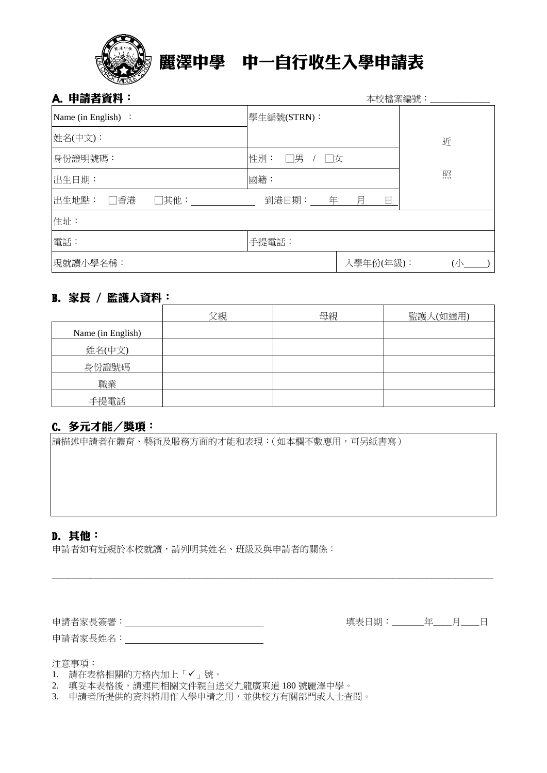

# 麗澤中學 中一自行收生入學申請表

| A. 申請者資料:            | 本校檔案編號:         |           |           |
|----------------------|-----------------|-----------|-----------|
| Name (in English) :  | 學生編號(STRN):     |           |           |
| 姓名(中文):              |                 |           | 近         |
| 身份證明號碼:              | 性別:<br>□男<br>□女 |           |           |
| 出生日期:                | 國籍:             |           | 照         |
| 出生地點:<br>□香港<br>□其他: | 到港日期: 年         | 月<br>日    |           |
| 住址:                  |                 |           |           |
| 電話:                  | 手提電話:           |           |           |
| 現就讀小學名稱:             |                 | 入學年份(年級): | $\bigcup$ |

# B. 家長 / 監護人資料:

|                   | 父親 | 母親 | 監護人(如適用) |
|-------------------|----|----|----------|
| Name (in English) |    |    |          |
| 姓名(中文)            |    |    |          |
| 身份證號碼             |    |    |          |
| 職業                |    |    |          |
| 手提電話              |    |    |          |

\_\_\_\_\_\_\_\_\_\_\_\_\_\_\_\_\_\_\_\_\_\_\_\_\_\_\_\_\_\_\_\_\_\_\_\_\_\_\_\_\_\_\_\_\_\_\_\_\_\_\_\_\_\_\_\_\_\_\_\_\_\_\_\_\_\_\_\_\_\_\_\_\_\_\_\_\_\_\_\_

# C. 多元才能/獎項:

請描述申請者在體育、藝術及服務方面的才能和表現:(如本欄不敷應用,可另紙書寫)

### D. 其他:

申請者如有近親於本校就讀,請列明其姓名、班級及與申請者的關係:

申請者家長簽署: 填表日期:\_\_\_\_\_\_\_年\_\_\_\_月\_\_\_\_日

申請者家長姓名:

注意事項:

- 1. 請在表格相關的方格內加上「✔」號。
- 2. 填妥本表格後,請連同相關文件親自送交九龍廣東道 180 號麗澤中學。
- 3. 申請者所提供的資料將用作入學申請之用,並供校方有關部門或人士查閱。